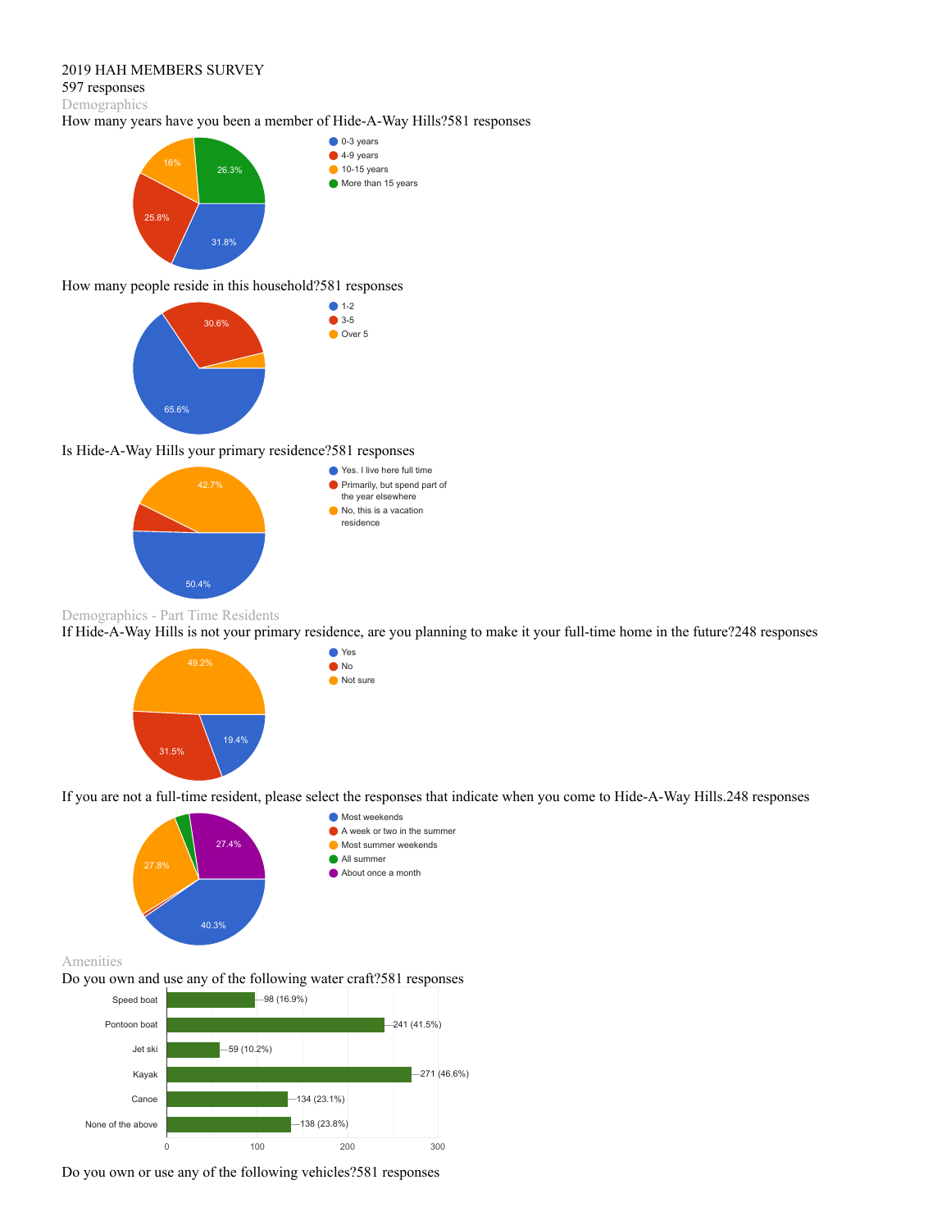# 2019 HAH MEMBERS SURVEY

#### 597 responses

Demographics

# How many years have you been a member of Hide-A-Way Hills?581 responses



### How many people reside in this household?581 responses



## Is Hide-A-Way Hills your primary residence?581 responses



● Yes No  $\bullet$  Not sure

# Demographics - Part Time Residents

If Hide-A-Way Hills is not your primary residence, are you planning to make it your full-time home in the future?248 responses



If you are not a full-time resident, please select the responses that indicate when you come to Hide-A-Way Hills.248 responses



Amenities

Do you own and use any of the following water craft?581 responses



Do you own or use any of the following vehicles?581 responses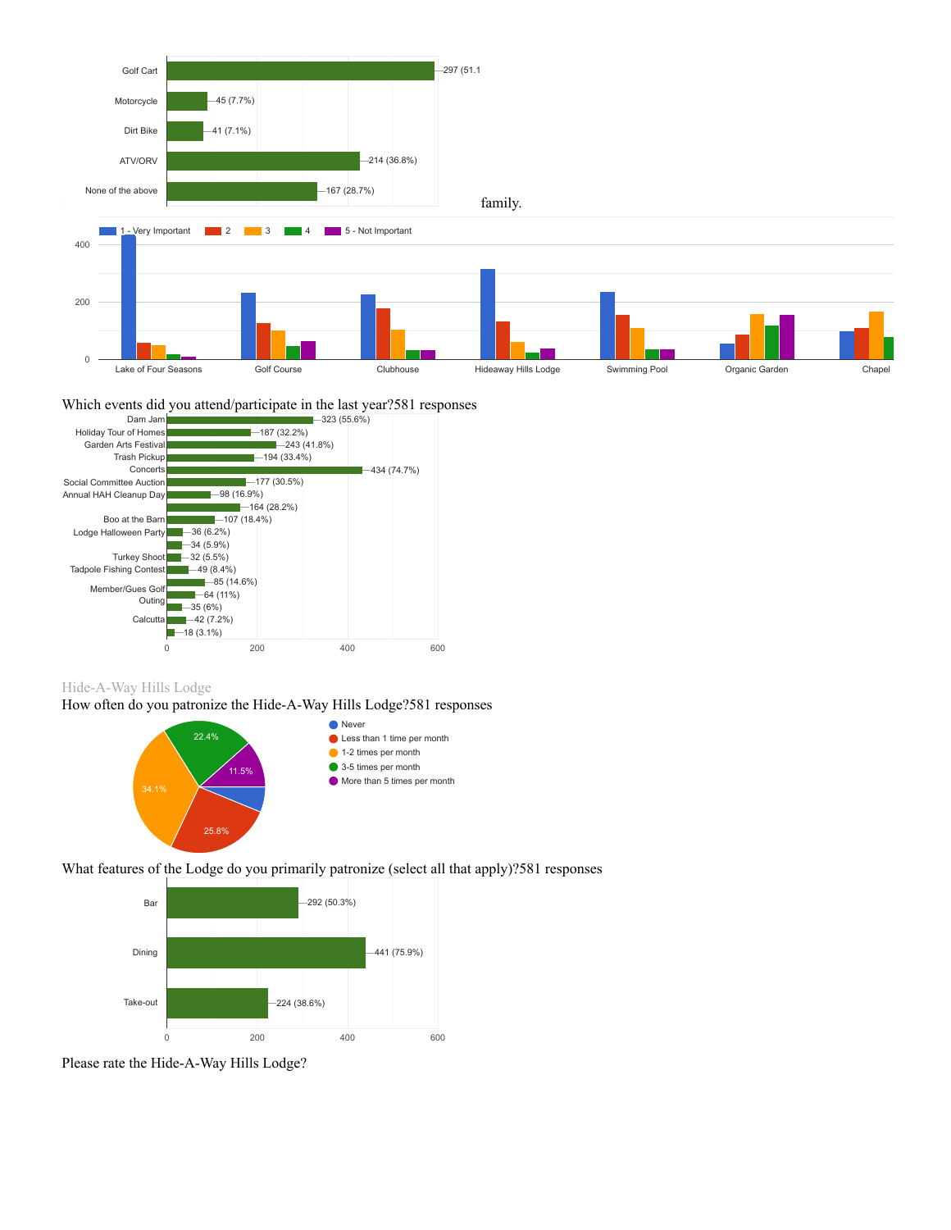





Hide-A-Way Hills Lodge

How often do you patronize the Hide-A-Way Hills Lodge?581 responses



What features of the Lodge do you primarily patronize (select all that apply)?581 responses



Please rate the Hide-A-Way Hills Lodge?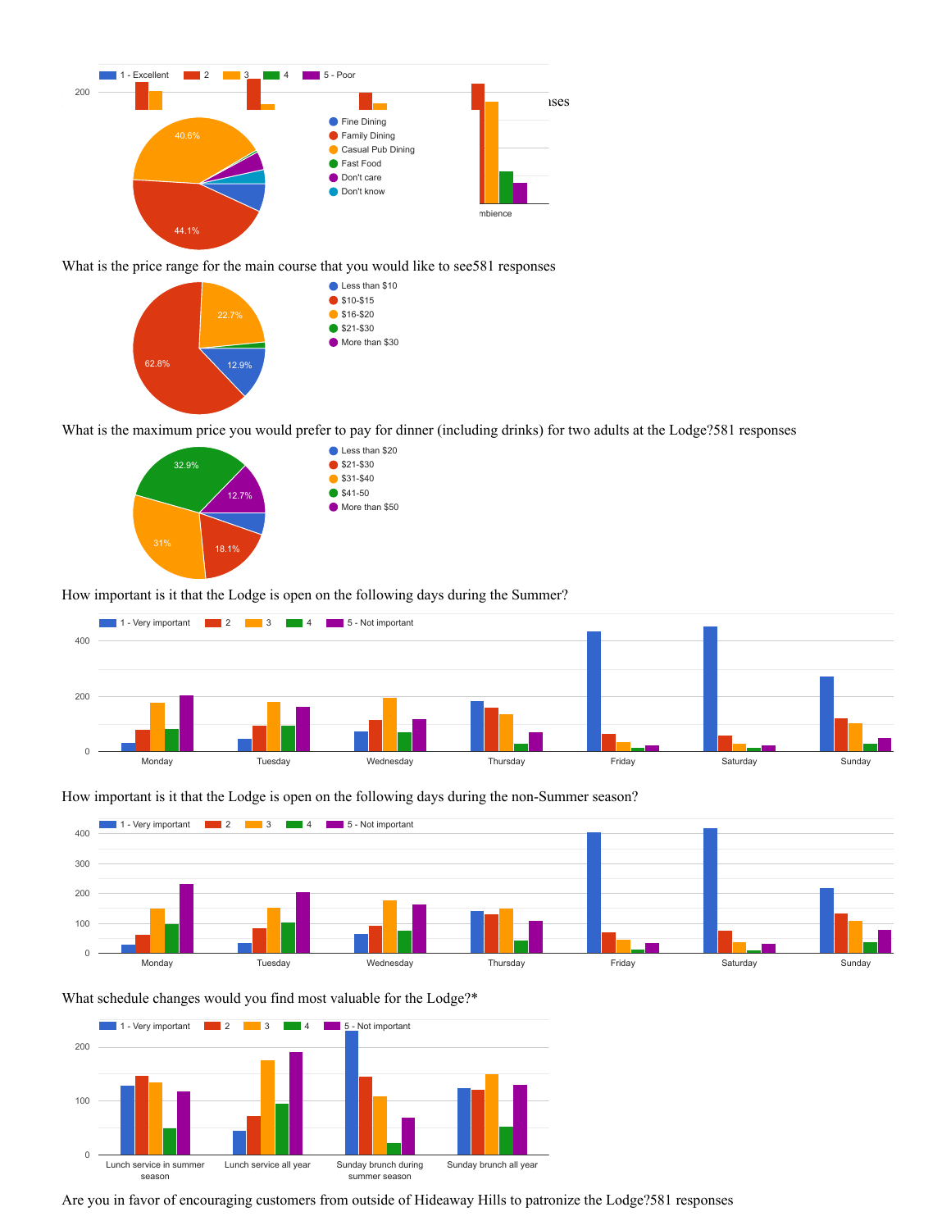

What is the price range for the main course that you would like to see581 responses



What is the maximum price you would prefer to pay for dinner (including drinks) for two adults at the Lodge?581 responses



How important is it that the Lodge is open on the following days during the Summer?





What schedule changes would you find most valuable for the Lodge?\*



Are you in favor of encouraging customers from outside of Hideaway Hills to patronize the Lodge?581 responses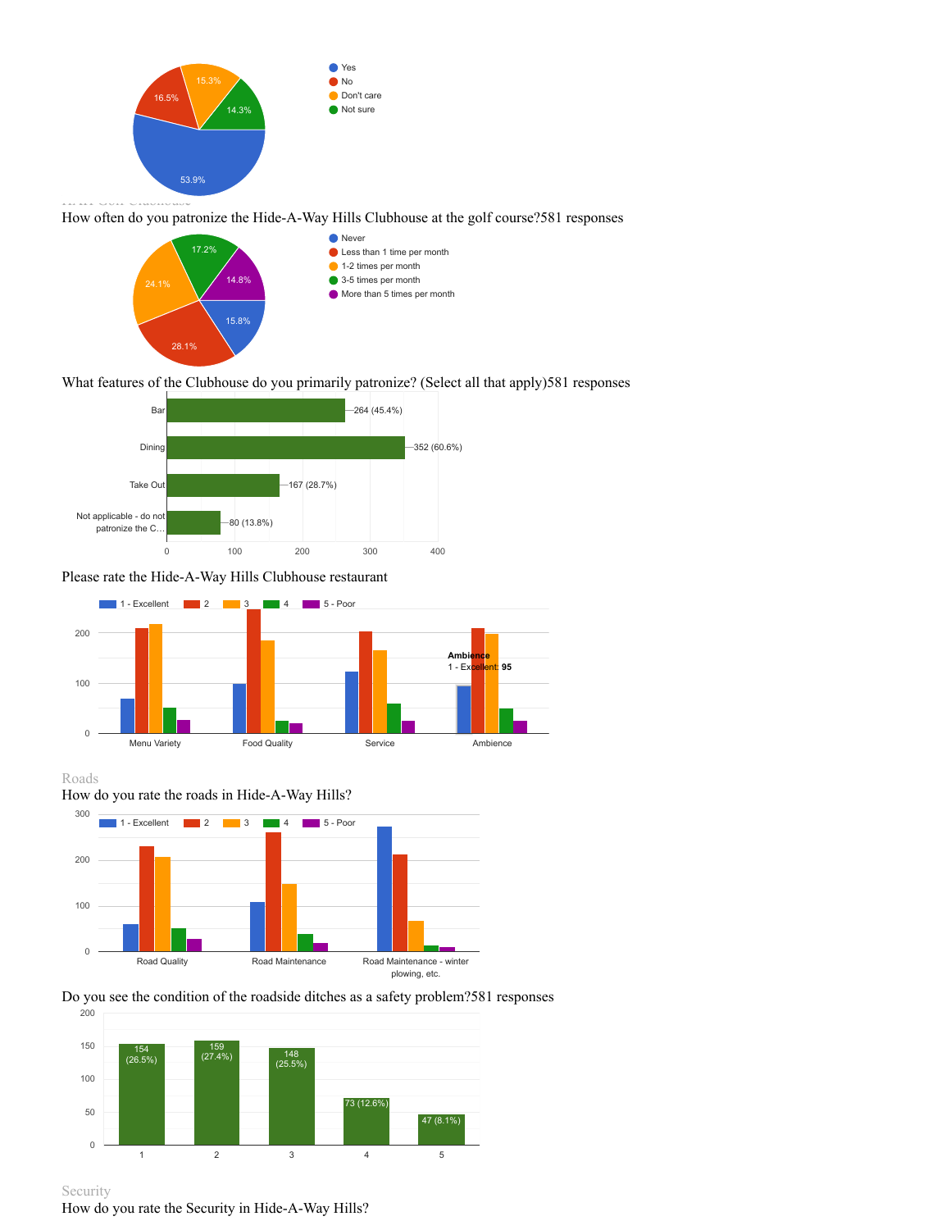

How often do you patronize the Hide-A-Way Hills Clubhouse at the golf course?581 responses



# What features of the Clubhouse do you primarily patronize? (Select all that apply)581 responses



# Please rate the Hide-A-Way Hills Clubhouse restaurant



# Roads





### Do you see the condition of the roadside ditches as a safety problem?581 responses





How do you rate the Security in Hide-A-Way Hills?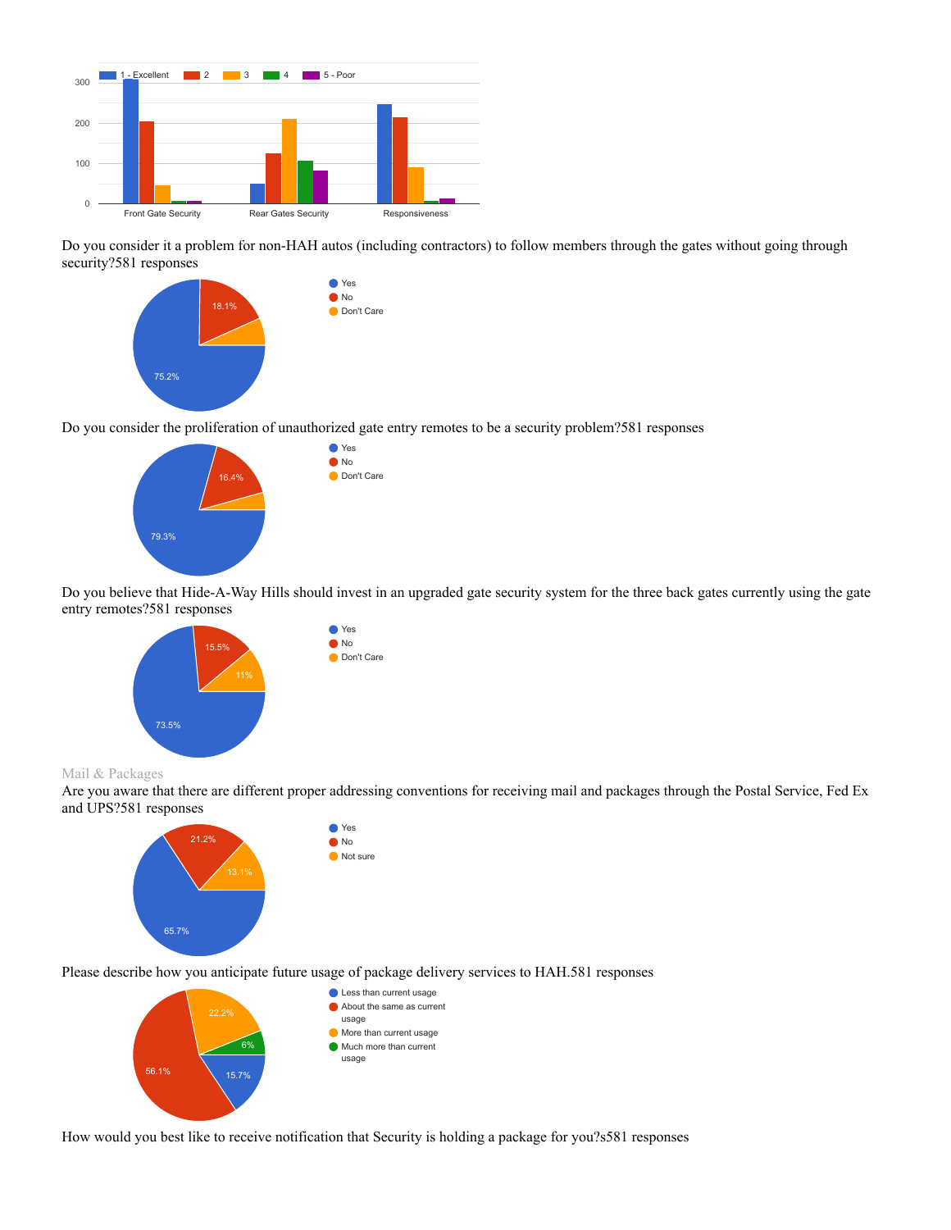

Do you consider it a problem for non-HAH autos (including contractors) to follow members through the gates without going through security?581 responses



Do you consider the proliferation of unauthorized gate entry remotes to be a security problem?581 responses



Do you believe that Hide-A-Way Hills should invest in an upgraded gate security system for the three back gates currently using the gate entry remotes?581 responses



#### Mail & Packages

Are you aware that there are different proper addressing conventions for receiving mail and packages through the Postal Service, Fed Ex and UPS?581 responses



Please describe how you anticipate future usage of package delivery services to HAH.581 responses



How would you best like to receive notification that Security is holding a package for you?s581 responses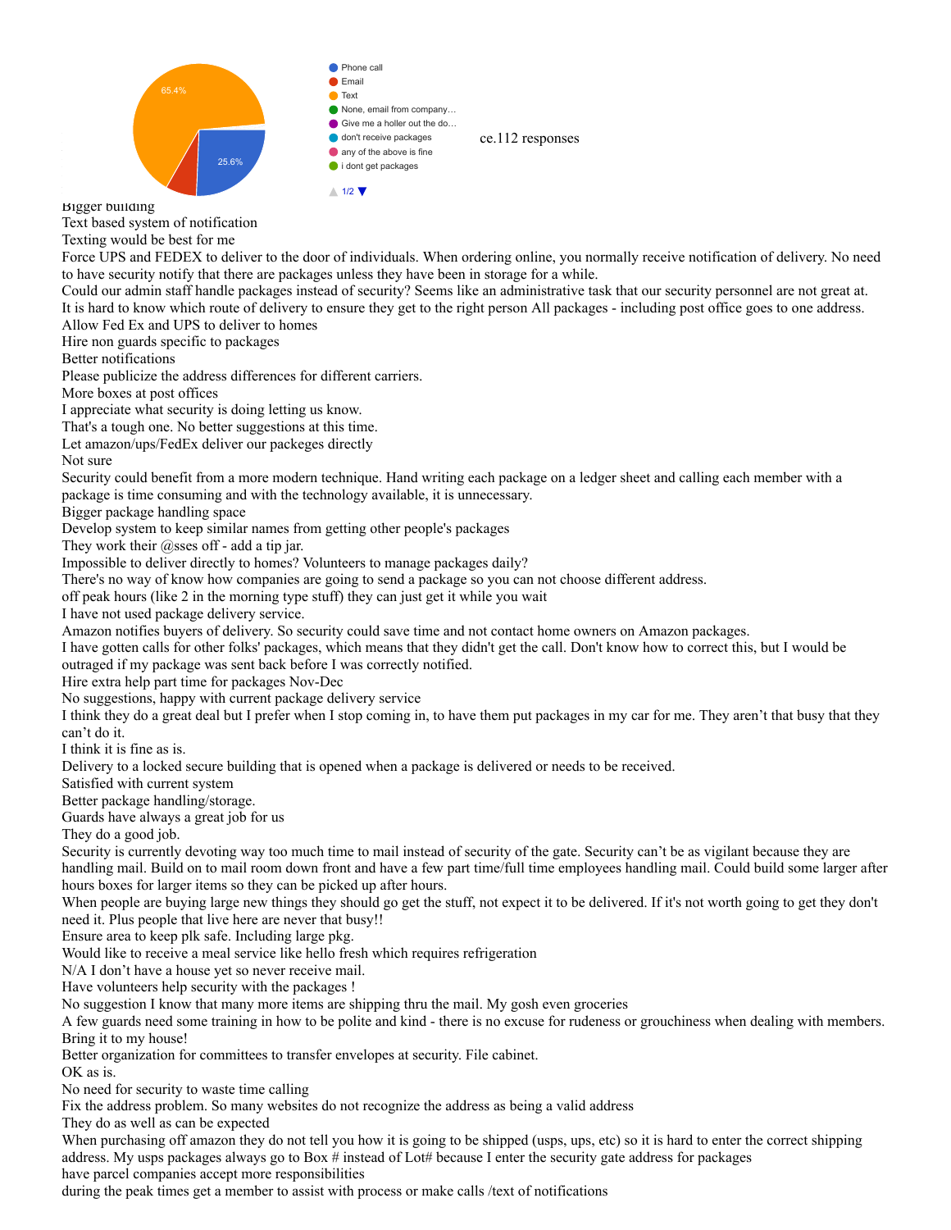

Bigger building

Text based system of notification

Texting would be best for me

Force UPS and FEDEX to deliver to the door of individuals. When ordering online, you normally receive notification of delivery. No need to have security notify that there are packages unless they have been in storage for a while.

Could our admin staff handle packages instead of security? Seems like an administrative task that our security personnel are not great at. It is hard to know which route of delivery to ensure they get to the right person All packages - including post office goes to one address. Allow Fed Ex and UPS to deliver to homes

Hire non guards specific to packages

Better notifications

Please publicize the address differences for different carriers.

More boxes at post offices

I appreciate what security is doing letting us know.

That's a tough one. No better suggestions at this time.

Let amazon/ups/FedEx deliver our packeges directly

Not sure

Security could benefit from a more modern technique. Hand writing each package on a ledger sheet and calling each member with a package is time consuming and with the technology available, it is unnecessary.

Bigger package handling space

Develop system to keep similar names from getting other people's packages

They work their  $@$ sses off - add a tip jar.

Impossible to deliver directly to homes? Volunteers to manage packages daily?

There's no way of know how companies are going to send a package so you can not choose different address.

off peak hours (like 2 in the morning type stuff) they can just get it while you wait

I have not used package delivery service.

Amazon notifies buyers of delivery. So security could save time and not contact home owners on Amazon packages.

I have gotten calls for other folks' packages, which means that they didn't get the call. Don't know how to correct this, but I would be outraged if my package was sent back before I was correctly notified.

Hire extra help part time for packages Nov-Dec

No suggestions, happy with current package delivery service

I think they do a great deal but I prefer when I stop coming in, to have them put packages in my car for me. They aren't that busy that they can't do it.

I think it is fine as is.

Delivery to a locked secure building that is opened when a package is delivered or needs to be received.

Satisfied with current system

Better package handling/storage.

Guards have always a great job for us

They do a good job.

Security is currently devoting way too much time to mail instead of security of the gate. Security can't be as vigilant because they are handling mail. Build on to mail room down front and have a few part time/full time employees handling mail. Could build some larger after hours boxes for larger items so they can be picked up after hours.

When people are buying large new things they should go get the stuff, not expect it to be delivered. If it's not worth going to get they don't need it. Plus people that live here are never that busy!!

Ensure area to keep plk safe. Including large pkg.

Would like to receive a meal service like hello fresh which requires refrigeration

N/A I don't have a house yet so never receive mail.

Have volunteers help security with the packages !

No suggestion I know that many more items are shipping thru the mail. My gosh even groceries

A few guards need some training in how to be polite and kind - there is no excuse for rudeness or grouchiness when dealing with members. Bring it to my house!

Better organization for committees to transfer envelopes at security. File cabinet.

OK as is.

No need for security to waste time calling

Fix the address problem. So many websites do not recognize the address as being a valid address

They do as well as can be expected

When purchasing off amazon they do not tell you how it is going to be shipped (usps, ups, etc) so it is hard to enter the correct shipping address. My usps packages always go to Box # instead of Lot# because I enter the security gate address for packages have parcel companies accept more responsibilities

during the peak times get a member to assist with process or make calls /text of notifications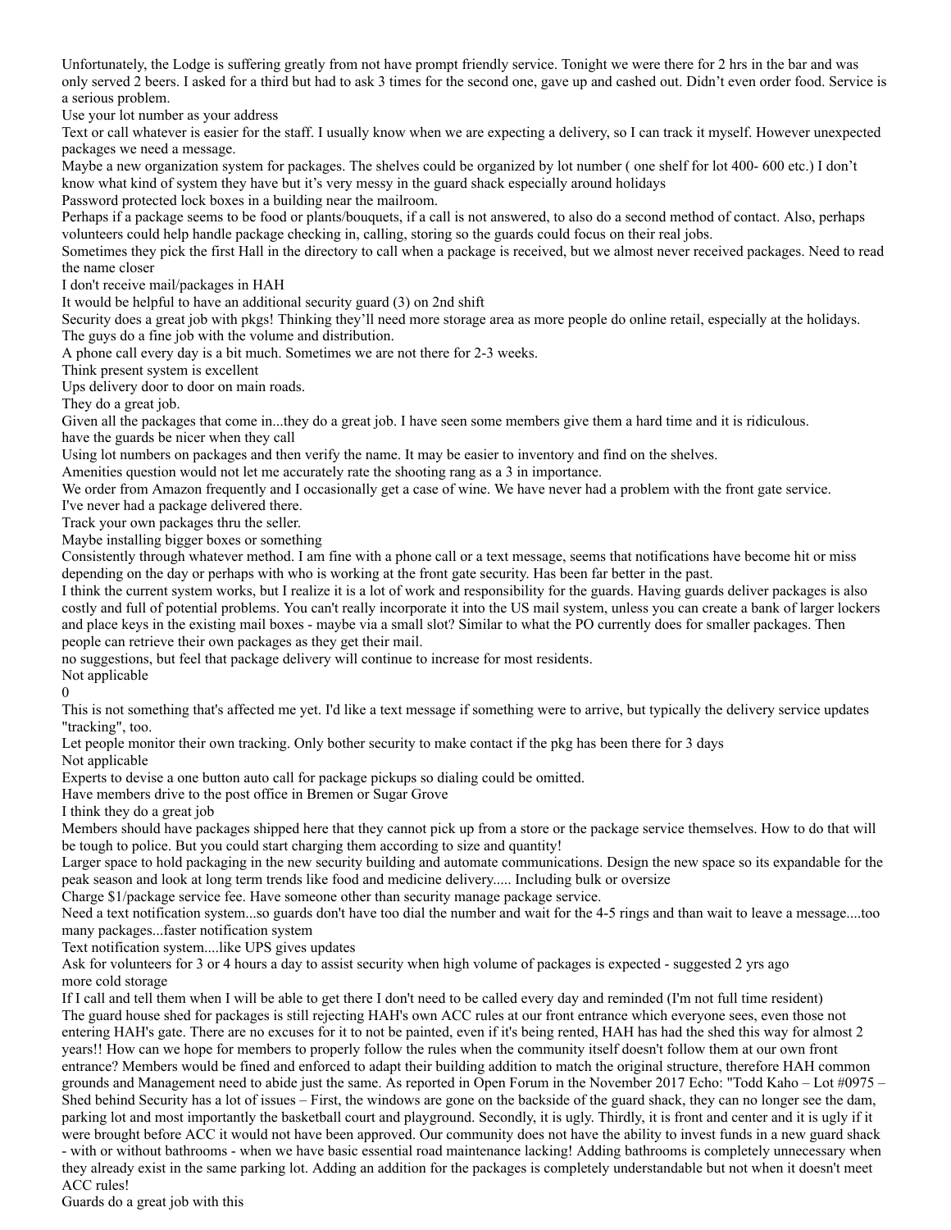Unfortunately, the Lodge is suffering greatly from not have prompt friendly service. Tonight we were there for 2 hrs in the bar and was only served 2 beers. I asked for a third but had to ask 3 times for the second one, gave up and cashed out. Didn't even order food. Service is a serious problem.

Use your lot number as your address

Text or call whatever is easier for the staff. I usually know when we are expecting a delivery, so I can track it myself. However unexpected packages we need a message.

Maybe a new organization system for packages. The shelves could be organized by lot number ( one shelf for lot 400- 600 etc.) I don't know what kind of system they have but it's very messy in the guard shack especially around holidays

Password protected lock boxes in a building near the mailroom.

Perhaps if a package seems to be food or plants/bouquets, if a call is not answered, to also do a second method of contact. Also, perhaps volunteers could help handle package checking in, calling, storing so the guards could focus on their real jobs.

Sometimes they pick the first Hall in the directory to call when a package is received, but we almost never received packages. Need to read the name closer

I don't receive mail/packages in HAH

It would be helpful to have an additional security guard (3) on 2nd shift

Security does a great job with pkgs! Thinking they'll need more storage area as more people do online retail, especially at the holidays. The guys do a fine job with the volume and distribution.

A phone call every day is a bit much. Sometimes we are not there for 2-3 weeks.

Think present system is excellent

Ups delivery door to door on main roads.

They do a great job.

Given all the packages that come in...they do a great job. I have seen some members give them a hard time and it is ridiculous. have the guards be nicer when they call

Using lot numbers on packages and then verify the name. It may be easier to inventory and find on the shelves.

Amenities question would not let me accurately rate the shooting rang as a 3 in importance.

We order from Amazon frequently and I occasionally get a case of wine. We have never had a problem with the front gate service.

I've never had a package delivered there.

Track your own packages thru the seller.

Maybe installing bigger boxes or something

Consistently through whatever method. I am fine with a phone call or a text message, seems that notifications have become hit or miss depending on the day or perhaps with who is working at the front gate security. Has been far better in the past.

I think the current system works, but I realize it is a lot of work and responsibility for the guards. Having guards deliver packages is also costly and full of potential problems. You can't really incorporate it into the US mail system, unless you can create a bank of larger lockers and place keys in the existing mail boxes - maybe via a small slot? Similar to what the PO currently does for smaller packages. Then people can retrieve their own packages as they get their mail.

no suggestions, but feel that package delivery will continue to increase for most residents.

Not applicable  $\theta$ 

This is not something that's affected me yet. I'd like a text message if something were to arrive, but typically the delivery service updates "tracking", too.

Let people monitor their own tracking. Only bother security to make contact if the pkg has been there for 3 days

Not applicable

Experts to devise a one button auto call for package pickups so dialing could be omitted.

Have members drive to the post office in Bremen or Sugar Grove

I think they do a great job

Members should have packages shipped here that they cannot pick up from a store or the package service themselves. How to do that will be tough to police. But you could start charging them according to size and quantity!

Larger space to hold packaging in the new security building and automate communications. Design the new space so its expandable for the peak season and look at long term trends like food and medicine delivery..... Including bulk or oversize

Charge \$1/package service fee. Have someone other than security manage package service.

Need a text notification system...so guards don't have too dial the number and wait for the 4-5 rings and than wait to leave a message....too many packages...faster notification system

Text notification system....like UPS gives updates

Ask for volunteers for 3 or 4 hours a day to assist security when high volume of packages is expected - suggested 2 yrs ago more cold storage

If I call and tell them when I will be able to get there I don't need to be called every day and reminded (I'm not full time resident) The guard house shed for packages is still rejecting HAH's own ACC rules at our front entrance which everyone sees, even those not entering HAH's gate. There are no excuses for it to not be painted, even if it's being rented, HAH has had the shed this way for almost 2 years!! How can we hope for members to properly follow the rules when the community itself doesn't follow them at our own front entrance? Members would be fined and enforced to adapt their building addition to match the original structure, therefore HAH common grounds and Management need to abide just the same. As reported in Open Forum in the November 2017 Echo: "Todd Kaho – Lot #0975 – Shed behind Security has a lot of issues – First, the windows are gone on the backside of the guard shack, they can no longer see the dam, parking lot and most importantly the basketball court and playground. Secondly, it is ugly. Thirdly, it is front and center and it is ugly if it were brought before ACC it would not have been approved. Our community does not have the ability to invest funds in a new guard shack - with or without bathrooms - when we have basic essential road maintenance lacking! Adding bathrooms is completely unnecessary when they already exist in the same parking lot. Adding an addition for the packages is completely understandable but not when it doesn't meet ACC rules!

Guards do a great job with this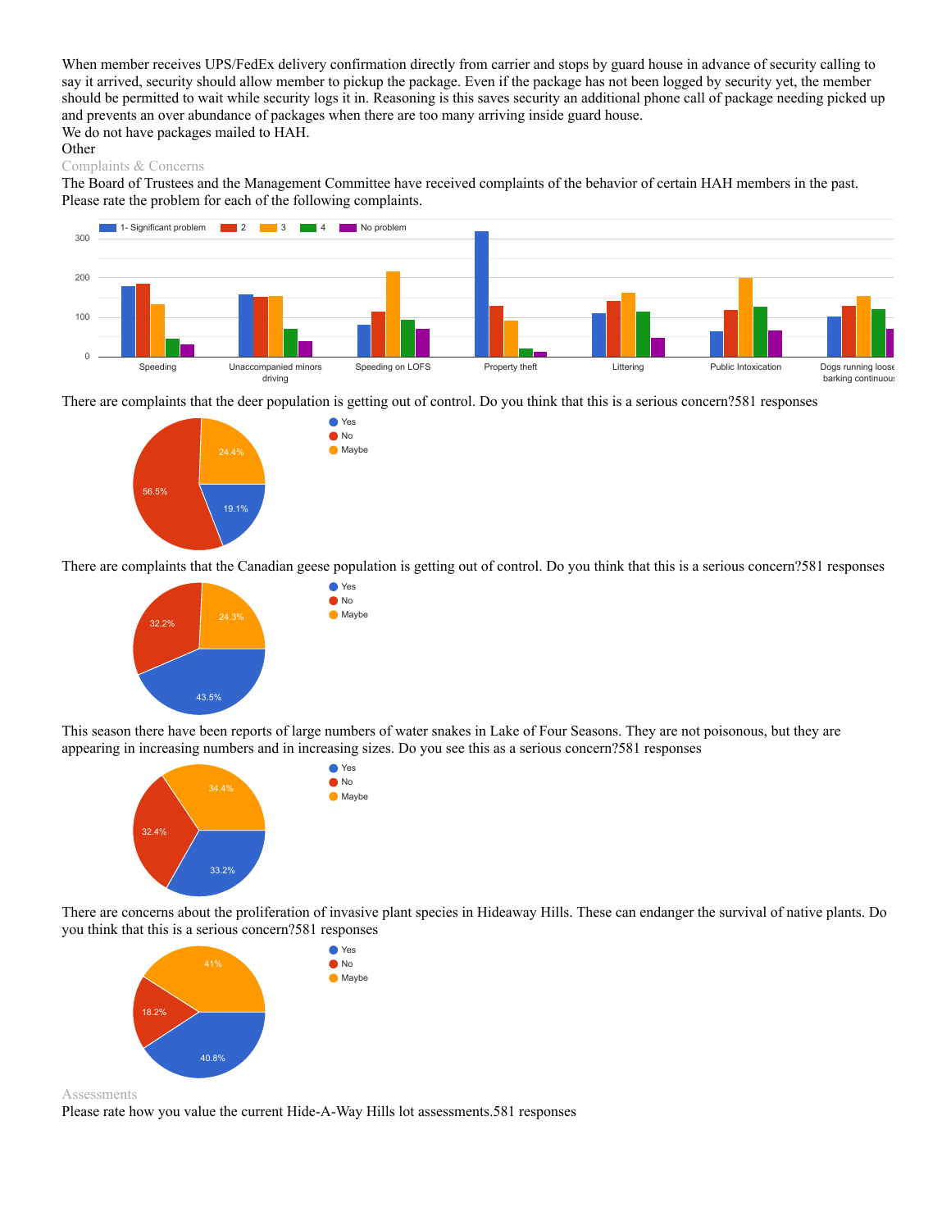When member receives UPS/FedEx delivery confirmation directly from carrier and stops by guard house in advance of security calling to say it arrived, security should allow member to pickup the package. Even if the package has not been logged by security yet, the member should be permitted to wait while security logs it in. Reasoning is this saves security an additional phone call of package needing picked up and prevents an over abundance of packages when there are too many arriving inside guard house. We do not have packages mailed to HAH.

#### **Other**

#### Complaints & Concerns

The Board of Trustees and the Management Committee have received complaints of the behavior of certain HAH members in the past. Please rate the problem for each of the following complaints.



There are complaints that the deer population is getting out of control. Do you think that this is a serious concern?581 responses

● Yes **O**No  $\bullet$  Maybe



There are complaints that the Canadian geese population is getting out of control. Do you think that this is a serious concern?581 responses



This season there have been reports of large numbers of water snakes in Lake of Four Seasons. They are not poisonous, but they are appearing in increasing numbers and in increasing sizes. Do you see this as a serious concern?581 responses



There are concerns about the proliferation of invasive plant species in Hideaway Hills. These can endanger the survival of native plants. Do you think that this is a serious concern?581 responses



Assessments

Please rate how you value the current Hide-A-Way Hills lot assessments.581 responses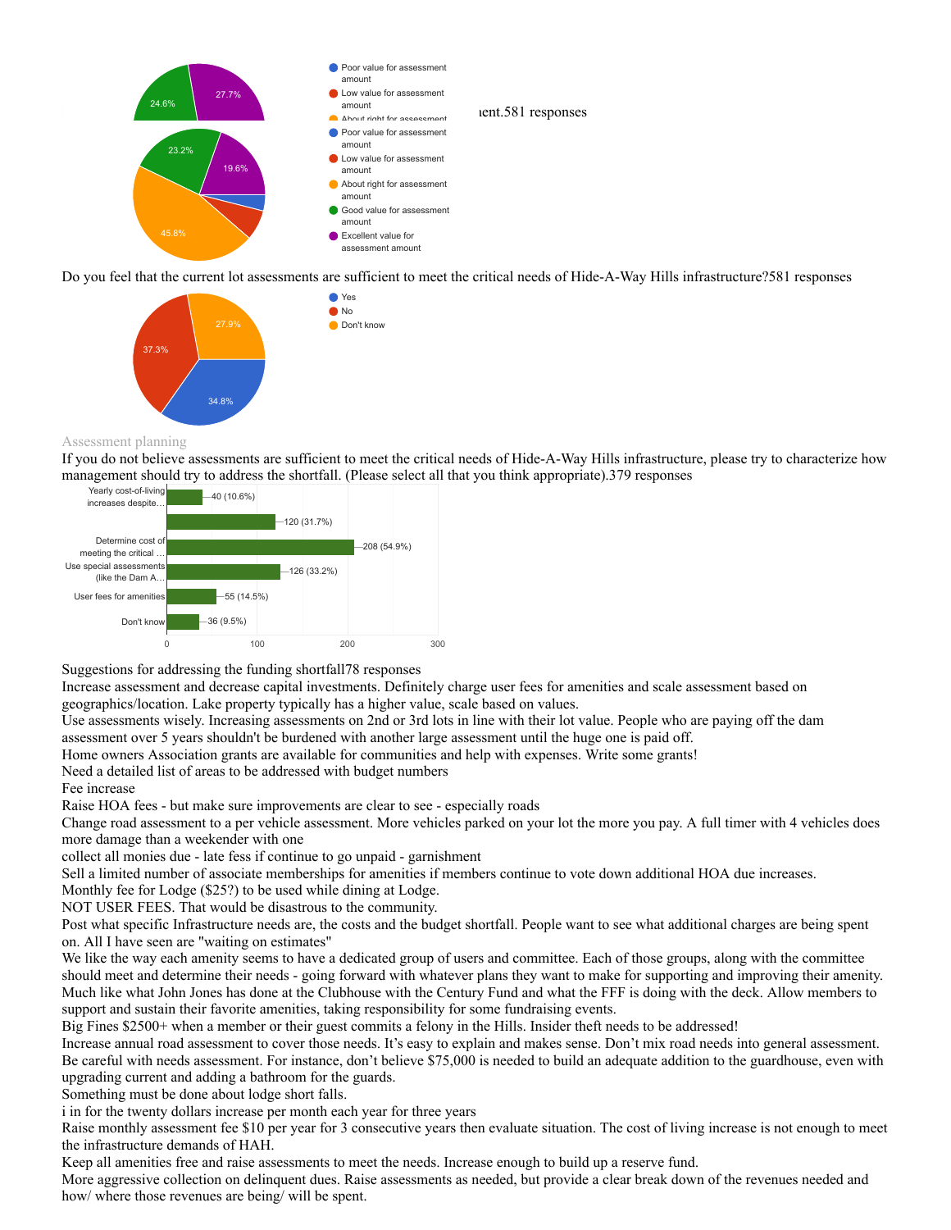

Do you feel that the current lot assessments are sufficient to meet the critical needs of Hide-A-Way Hills infrastructure?581 responses



#### Assessment planning

If you do not believe assessments are sufficient to meet the critical needs of Hide-A-Way Hills infrastructure, please try to characterize how management should try to address the shortfall. (Please select all that you think appropriate).379 responses



Suggestions for addressing the funding shortfall78 responses

Increase assessment and decrease capital investments. Definitely charge user fees for amenities and scale assessment based on geographics/location. Lake property typically has a higher value, scale based on values.

Use assessments wisely. Increasing assessments on 2nd or 3rd lots in line with their lot value. People who are paying off the dam assessment over 5 years shouldn't be burdened with another large assessment until the huge one is paid off.

Home owners Association grants are available for communities and help with expenses. Write some grants!

Need a detailed list of areas to be addressed with budget numbers

#### Fee increase

Raise HOA fees - but make sure improvements are clear to see - especially roads

Change road assessment to a per vehicle assessment. More vehicles parked on your lot the more you pay. A full timer with 4 vehicles does more damage than a weekender with one

collect all monies due - late fess if continue to go unpaid - garnishment

Sell a limited number of associate memberships for amenities if members continue to vote down additional HOA due increases.

Monthly fee for Lodge (\$25?) to be used while dining at Lodge.

NOT USER FEES. That would be disastrous to the community.

Post what specific Infrastructure needs are, the costs and the budget shortfall. People want to see what additional charges are being spent on. All I have seen are "waiting on estimates"

We like the way each amenity seems to have a dedicated group of users and committee. Each of those groups, along with the committee should meet and determine their needs - going forward with whatever plans they want to make for supporting and improving their amenity. Much like what John Jones has done at the Clubhouse with the Century Fund and what the FFF is doing with the deck. Allow members to support and sustain their favorite amenities, taking responsibility for some fundraising events.

Big Fines \$2500+ when a member or their guest commits a felony in the Hills. Insider theft needs to be addressed!

Increase annual road assessment to cover those needs. It's easy to explain and makes sense. Don't mix road needs into general assessment. Be careful with needs assessment. For instance, don't believe \$75,000 is needed to build an adequate addition to the guardhouse, even with upgrading current and adding a bathroom for the guards.

Something must be done about lodge short falls.

i in for the twenty dollars increase per month each year for three years

Raise monthly assessment fee \$10 per year for 3 consecutive years then evaluate situation. The cost of living increase is not enough to meet the infrastructure demands of HAH.

Keep all amenities free and raise assessments to meet the needs. Increase enough to build up a reserve fund.

More aggressive collection on delinquent dues. Raise assessments as needed, but provide a clear break down of the revenues needed and how/ where those revenues are being/ will be spent.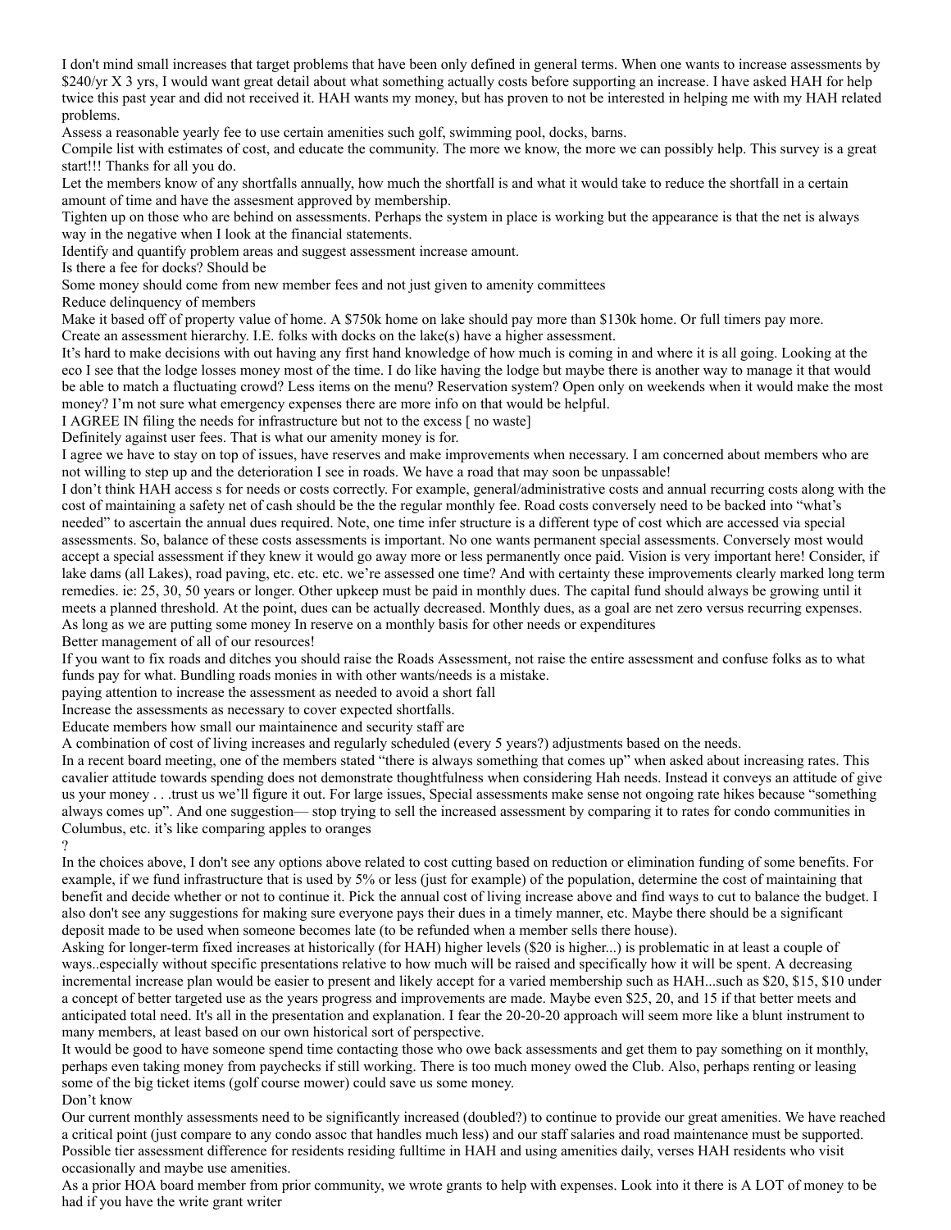I don't mind small increases that target problems that have been only defined in general terms. When one wants to increase assessments by \$240/yr X 3 yrs, I would want great detail about what something actually costs before supporting an increase. I have asked HAH for help twice this past year and did not received it. HAH wants my money, but has proven to not be interested in helping me with my HAH related problems.

Assess a reasonable yearly fee to use certain amenities such golf, swimming pool, docks, barns.

Compile list with estimates of cost, and educate the community. The more we know, the more we can possibly help. This survey is a great start!!! Thanks for all you do.

Let the members know of any shortfalls annually, how much the shortfall is and what it would take to reduce the shortfall in a certain amount of time and have the assesment approved by membership.

Tighten up on those who are behind on assessments. Perhaps the system in place is working but the appearance is that the net is always way in the negative when I look at the financial statements.

Identify and quantify problem areas and suggest assessment increase amount.

Is there a fee for docks? Should be

Some money should come from new member fees and not just given to amenity committees

Reduce delinquency of members

Make it based off of property value of home. A \$750k home on lake should pay more than \$130k home. Or full timers pay more.

Create an assessment hierarchy. I.E. folks with docks on the lake(s) have a higher assessment.

It's hard to make decisions with out having any first hand knowledge of how much is coming in and where it is all going. Looking at the eco I see that the lodge losses money most of the time. I do like having the lodge but maybe there is another way to manage it that would be able to match a fluctuating crowd? Less items on the menu? Reservation system? Open only on weekends when it would make the most money? I'm not sure what emergency expenses there are more info on that would be helpful.

I AGREE IN filing the needs for infrastructure but not to the excess [ no waste]

Definitely against user fees. That is what our amenity money is for.

I agree we have to stay on top of issues, have reserves and make improvements when necessary. I am concerned about members who are not willing to step up and the deterioration I see in roads. We have a road that may soon be unpassable!

I don't think HAH access s for needs or costs correctly. For example, general/administrative costs and annual recurring costs along with the cost of maintaining a safety net of cash should be the the regular monthly fee. Road costs conversely need to be backed into "what's needed" to ascertain the annual dues required. Note, one time infer structure is a different type of cost which are accessed via special assessments. So, balance of these costs assessments is important. No one wants permanent special assessments. Conversely most would accept a special assessment if they knew it would go away more or less permanently once paid. Vision is very important here! Consider, if lake dams (all Lakes), road paving, etc. etc. etc. we're assessed one time? And with certainty these improvements clearly marked long term remedies. ie: 25, 30, 50 years or longer. Other upkeep must be paid in monthly dues. The capital fund should always be growing until it meets a planned threshold. At the point, dues can be actually decreased. Monthly dues, as a goal are net zero versus recurring expenses. As long as we are putting some money In reserve on a monthly basis for other needs or expenditures

Better management of all of our resources!

If you want to fix roads and ditches you should raise the Roads Assessment, not raise the entire assessment and confuse folks as to what funds pay for what. Bundling roads monies in with other wants/needs is a mistake.

paying attention to increase the assessment as needed to avoid a short fall

Increase the assessments as necessary to cover expected shortfalls.

Educate members how small our maintainence and security staff are

A combination of cost of living increases and regularly scheduled (every 5 years?) adjustments based on the needs.

In a recent board meeting, one of the members stated "there is always something that comes up" when asked about increasing rates. This cavalier attitude towards spending does not demonstrate thoughtfulness when considering Hah needs. Instead it conveys an attitude of give us your money . . .trust us we'll figure it out. For large issues, Special assessments make sense not ongoing rate hikes because "something always comes up". And one suggestion— stop trying to sell the increased assessment by comparing it to rates for condo communities in Columbus, etc. it's like comparing apples to oranges

?

In the choices above, I don't see any options above related to cost cutting based on reduction or elimination funding of some benefits. For example, if we fund infrastructure that is used by 5% or less (just for example) of the population, determine the cost of maintaining that benefit and decide whether or not to continue it. Pick the annual cost of living increase above and find ways to cut to balance the budget. I also don't see any suggestions for making sure everyone pays their dues in a timely manner, etc. Maybe there should be a significant deposit made to be used when someone becomes late (to be refunded when a member sells there house).

Asking for longer-term fixed increases at historically (for HAH) higher levels (\$20 is higher...) is problematic in at least a couple of ways..especially without specific presentations relative to how much will be raised and specifically how it will be spent. A decreasing incremental increase plan would be easier to present and likely accept for a varied membership such as HAH...such as \$20, \$15, \$10 under a concept of better targeted use as the years progress and improvements are made. Maybe even \$25, 20, and 15 if that better meets and anticipated total need. It's all in the presentation and explanation. I fear the 20-20-20 approach will seem more like a blunt instrument to many members, at least based on our own historical sort of perspective.

It would be good to have someone spend time contacting those who owe back assessments and get them to pay something on it monthly, perhaps even taking money from paychecks if still working. There is too much money owed the Club. Also, perhaps renting or leasing some of the big ticket items (golf course mower) could save us some money. Don't know

Our current monthly assessments need to be significantly increased (doubled?) to continue to provide our great amenities. We have reached a critical point (just compare to any condo assoc that handles much less) and our staff salaries and road maintenance must be supported. Possible tier assessment difference for residents residing fulltime in HAH and using amenities daily, verses HAH residents who visit occasionally and maybe use amenities.

As a prior HOA board member from prior community, we wrote grants to help with expenses. Look into it there is A LOT of money to be had if you have the write grant writer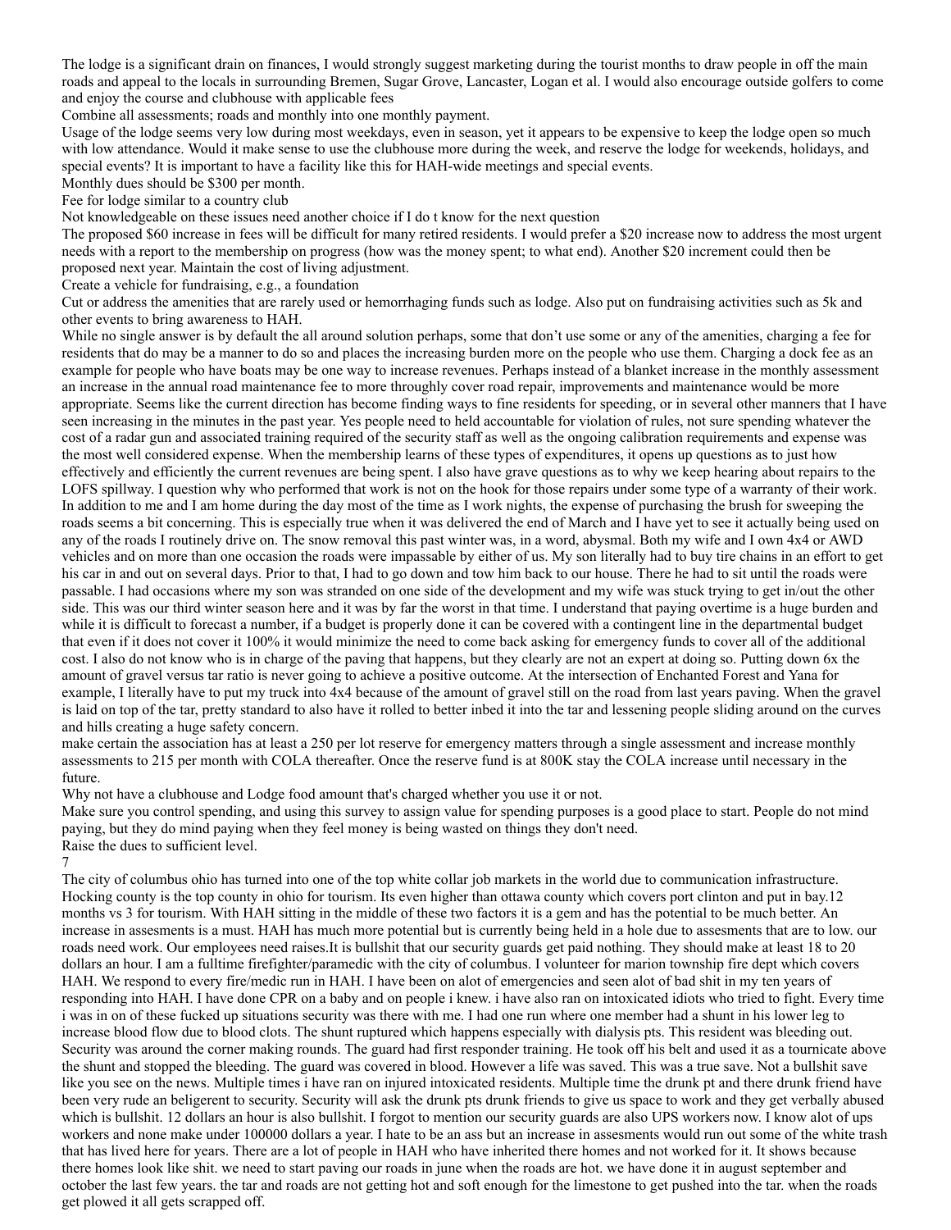The lodge is a significant drain on finances, I would strongly suggest marketing during the tourist months to draw people in off the main roads and appeal to the locals in surrounding Bremen, Sugar Grove, Lancaster, Logan et al. I would also encourage outside golfers to come and enjoy the course and clubhouse with applicable fees

Combine all assessments; roads and monthly into one monthly payment.

Usage of the lodge seems very low during most weekdays, even in season, yet it appears to be expensive to keep the lodge open so much with low attendance. Would it make sense to use the clubhouse more during the week, and reserve the lodge for weekends, holidays, and special events? It is important to have a facility like this for HAH-wide meetings and special events.

Monthly dues should be \$300 per month.

Fee for lodge similar to a country club

Not knowledgeable on these issues need another choice if I do t know for the next question

The proposed \$60 increase in fees will be difficult for many retired residents. I would prefer a \$20 increase now to address the most urgent needs with a report to the membership on progress (how was the money spent; to what end). Another \$20 increment could then be proposed next year. Maintain the cost of living adjustment.

Create a vehicle for fundraising, e.g., a foundation

Cut or address the amenities that are rarely used or hemorrhaging funds such as lodge. Also put on fundraising activities such as 5k and other events to bring awareness to HAH.

While no single answer is by default the all around solution perhaps, some that don't use some or any of the amenities, charging a fee for residents that do may be a manner to do so and places the increasing burden more on the people who use them. Charging a dock fee as an example for people who have boats may be one way to increase revenues. Perhaps instead of a blanket increase in the monthly assessment an increase in the annual road maintenance fee to more throughly cover road repair, improvements and maintenance would be more appropriate. Seems like the current direction has become finding ways to fine residents for speeding, or in several other manners that I have seen increasing in the minutes in the past year. Yes people need to held accountable for violation of rules, not sure spending whatever the cost of a radar gun and associated training required of the security staff as well as the ongoing calibration requirements and expense was the most well considered expense. When the membership learns of these types of expenditures, it opens up questions as to just how effectively and efficiently the current revenues are being spent. I also have grave questions as to why we keep hearing about repairs to the LOFS spillway. I question why who performed that work is not on the hook for those repairs under some type of a warranty of their work. In addition to me and I am home during the day most of the time as I work nights, the expense of purchasing the brush for sweeping the roads seems a bit concerning. This is especially true when it was delivered the end of March and I have yet to see it actually being used on any of the roads I routinely drive on. The snow removal this past winter was, in a word, abysmal. Both my wife and I own 4x4 or AWD vehicles and on more than one occasion the roads were impassable by either of us. My son literally had to buy tire chains in an effort to get his car in and out on several days. Prior to that, I had to go down and tow him back to our house. There he had to sit until the roads were passable. I had occasions where my son was stranded on one side of the development and my wife was stuck trying to get in/out the other side. This was our third winter season here and it was by far the worst in that time. I understand that paying overtime is a huge burden and while it is difficult to forecast a number, if a budget is properly done it can be covered with a contingent line in the departmental budget that even if it does not cover it 100% it would minimize the need to come back asking for emergency funds to cover all of the additional cost. I also do not know who is in charge of the paving that happens, but they clearly are not an expert at doing so. Putting down 6x the amount of gravel versus tar ratio is never going to achieve a positive outcome. At the intersection of Enchanted Forest and Yana for example, I literally have to put my truck into 4x4 because of the amount of gravel still on the road from last years paving. When the gravel is laid on top of the tar, pretty standard to also have it rolled to better inbed it into the tar and lessening people sliding around on the curves and hills creating a huge safety concern.

make certain the association has at least a 250 per lot reserve for emergency matters through a single assessment and increase monthly assessments to 215 per month with COLA thereafter. Once the reserve fund is at 800K stay the COLA increase until necessary in the future.

Why not have a clubhouse and Lodge food amount that's charged whether you use it or not.

Make sure you control spending, and using this survey to assign value for spending purposes is a good place to start. People do not mind paying, but they do mind paying when they feel money is being wasted on things they don't need. Raise the dues to sufficient level.

7

The city of columbus ohio has turned into one of the top white collar job markets in the world due to communication infrastructure. Hocking county is the top county in ohio for tourism. Its even higher than ottawa county which covers port clinton and put in bay.12 months vs 3 for tourism. With HAH sitting in the middle of these two factors it is a gem and has the potential to be much better. An increase in assesments is a must. HAH has much more potential but is currently being held in a hole due to assesments that are to low. our roads need work. Our employees need raises.It is bullshit that our security guards get paid nothing. They should make at least 18 to 20 dollars an hour. I am a fulltime firefighter/paramedic with the city of columbus. I volunteer for marion township fire dept which covers HAH. We respond to every fire/medic run in HAH. I have been on alot of emergencies and seen alot of bad shit in my ten years of responding into HAH. I have done CPR on a baby and on people i knew. i have also ran on intoxicated idiots who tried to fight. Every time i was in on of these fucked up situations security was there with me. I had one run where one member had a shunt in his lower leg to increase blood flow due to blood clots. The shunt ruptured which happens especially with dialysis pts. This resident was bleeding out. Security was around the corner making rounds. The guard had first responder training. He took off his belt and used it as a tournicate above the shunt and stopped the bleeding. The guard was covered in blood. However a life was saved. This was a true save. Not a bullshit save like you see on the news. Multiple times i have ran on injured intoxicated residents. Multiple time the drunk pt and there drunk friend have been very rude an beligerent to security. Security will ask the drunk pts drunk friends to give us space to work and they get verbally abused which is bullshit. 12 dollars an hour is also bullshit. I forgot to mention our security guards are also UPS workers now. I know alot of ups workers and none make under 100000 dollars a year. I hate to be an ass but an increase in assesments would run out some of the white trash that has lived here for years. There are a lot of people in HAH who have inherited there homes and not worked for it. It shows because there homes look like shit. we need to start paving our roads in june when the roads are hot. we have done it in august september and october the last few years. the tar and roads are not getting hot and soft enough for the limestone to get pushed into the tar. when the roads get plowed it all gets scrapped off.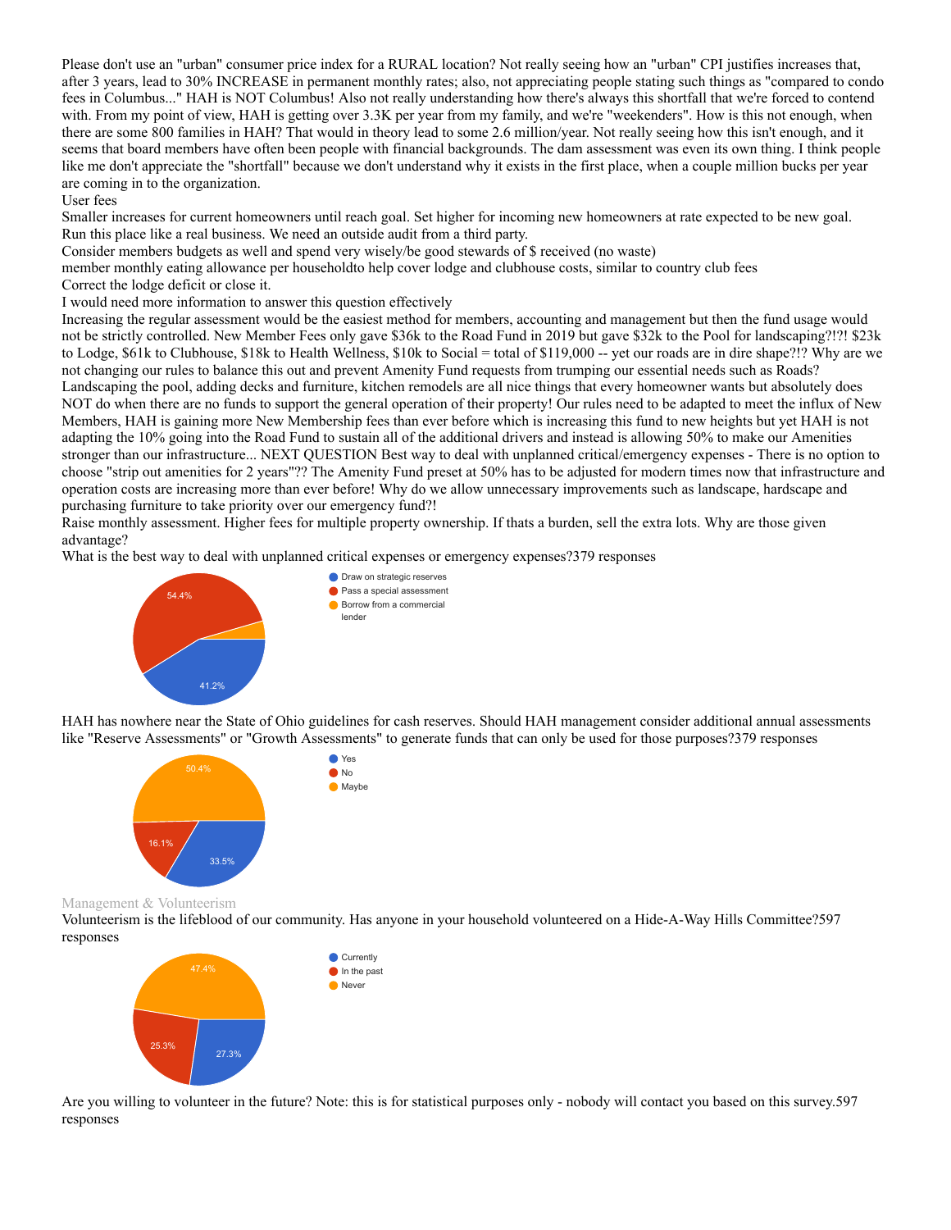Please don't use an "urban" consumer price index for a RURAL location? Not really seeing how an "urban" CPI justifies increases that, after 3 years, lead to 30% INCREASE in permanent monthly rates; also, not appreciating people stating such things as "compared to condo fees in Columbus..." HAH is NOT Columbus! Also not really understanding how there's always this shortfall that we're forced to contend with. From my point of view, HAH is getting over 3.3K per year from my family, and we're "weekenders". How is this not enough, when there are some 800 families in HAH? That would in theory lead to some 2.6 million/year. Not really seeing how this isn't enough, and it seems that board members have often been people with financial backgrounds. The dam assessment was even its own thing. I think people like me don't appreciate the "shortfall" because we don't understand why it exists in the first place, when a couple million bucks per year are coming in to the organization.

#### User fees

Smaller increases for current homeowners until reach goal. Set higher for incoming new homeowners at rate expected to be new goal. Run this place like a real business. We need an outside audit from a third party.

Consider members budgets as well and spend very wisely/be good stewards of \$ received (no waste)

member monthly eating allowance per householdto help cover lodge and clubhouse costs, similar to country club fees

Correct the lodge deficit or close it.

I would need more information to answer this question effectively

Increasing the regular assessment would be the easiest method for members, accounting and management but then the fund usage would not be strictly controlled. New Member Fees only gave \$36k to the Road Fund in 2019 but gave \$32k to the Pool for landscaping?!?! \$23k to Lodge, \$61k to Clubhouse, \$18k to Health Wellness, \$10k to Social = total of \$119,000 -- yet our roads are in dire shape?!? Why are we not changing our rules to balance this out and prevent Amenity Fund requests from trumping our essential needs such as Roads? Landscaping the pool, adding decks and furniture, kitchen remodels are all nice things that every homeowner wants but absolutely does NOT do when there are no funds to support the general operation of their property! Our rules need to be adapted to meet the influx of New Members, HAH is gaining more New Membership fees than ever before which is increasing this fund to new heights but yet HAH is not adapting the 10% going into the Road Fund to sustain all of the additional drivers and instead is allowing 50% to make our Amenities stronger than our infrastructure... NEXT QUESTION Best way to deal with unplanned critical/emergency expenses - There is no option to choose "strip out amenities for 2 years"?? The Amenity Fund preset at 50% has to be adjusted for modern times now that infrastructure and operation costs are increasing more than ever before! Why do we allow unnecessary improvements such as landscape, hardscape and purchasing furniture to take priority over our emergency fund?!

Raise monthly assessment. Higher fees for multiple property ownership. If thats a burden, sell the extra lots. Why are those given advantage?

What is the best way to deal with unplanned critical expenses or emergency expenses?379 responses



HAH has nowhere near the State of Ohio guidelines for cash reserves. Should HAH management consider additional annual assessments like "Reserve Assessments" or "Growth Assessments" to generate funds that can only be used for those purposes?379 responses



Management & Volunteerism

Volunteerism is the lifeblood of our community. Has anyone in your household volunteered on a Hide-A-Way Hills Committee?597 responses



Are you willing to volunteer in the future? Note: this is for statistical purposes only - nobody will contact you based on this survey.597 responses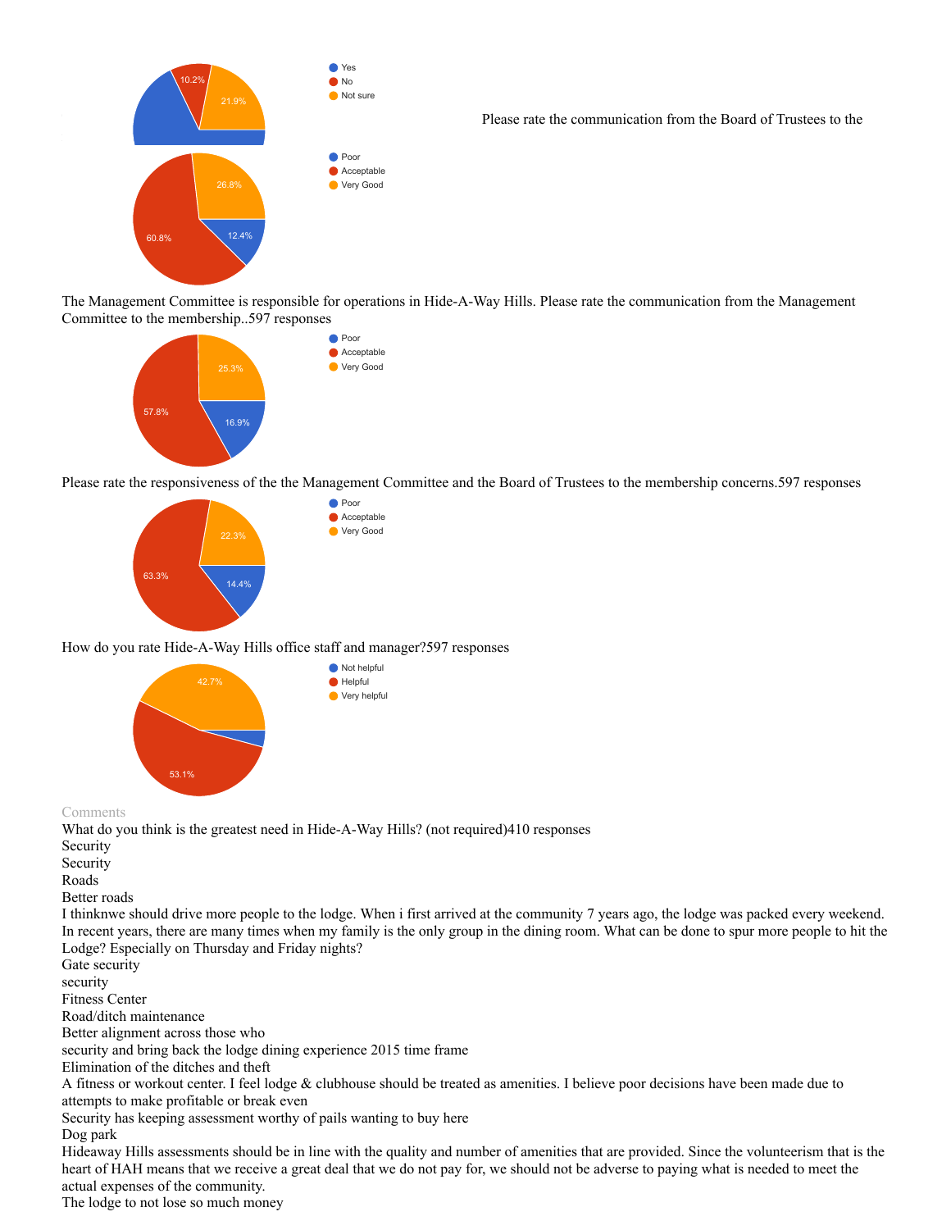

Please rate the communication from the Board of Trustees to the

The Management Committee is responsible for operations in Hide-A-Way Hills. Please rate the communication from the Management Committee to the membership..597 responses



Please rate the responsiveness of the the Management Committee and the Board of Trustees to the membership concerns.597 responses



How do you rate Hide-A-Way Hills office staff and manager?597 responses



Comments

What do you think is the greatest need in Hide-A-Way Hills? (not required)410 responses

Security

Security

Roads

Better roads

I thinknwe should drive more people to the lodge. When i first arrived at the community 7 years ago, the lodge was packed every weekend. In recent years, there are many times when my family is the only group in the dining room. What can be done to spur more people to hit the Lodge? Especially on Thursday and Friday nights?

Gate security

security

Fitness Center

Road/ditch maintenance

Better alignment across those who

security and bring back the lodge dining experience 2015 time frame

Elimination of the ditches and theft

A fitness or workout center. I feel lodge & clubhouse should be treated as amenities. I believe poor decisions have been made due to attempts to make profitable or break even

Security has keeping assessment worthy of pails wanting to buy here

Dog park

Hideaway Hills assessments should be in line with the quality and number of amenities that are provided. Since the volunteerism that is the heart of HAH means that we receive a great deal that we do not pay for, we should not be adverse to paying what is needed to meet the actual expenses of the community.

The lodge to not lose so much money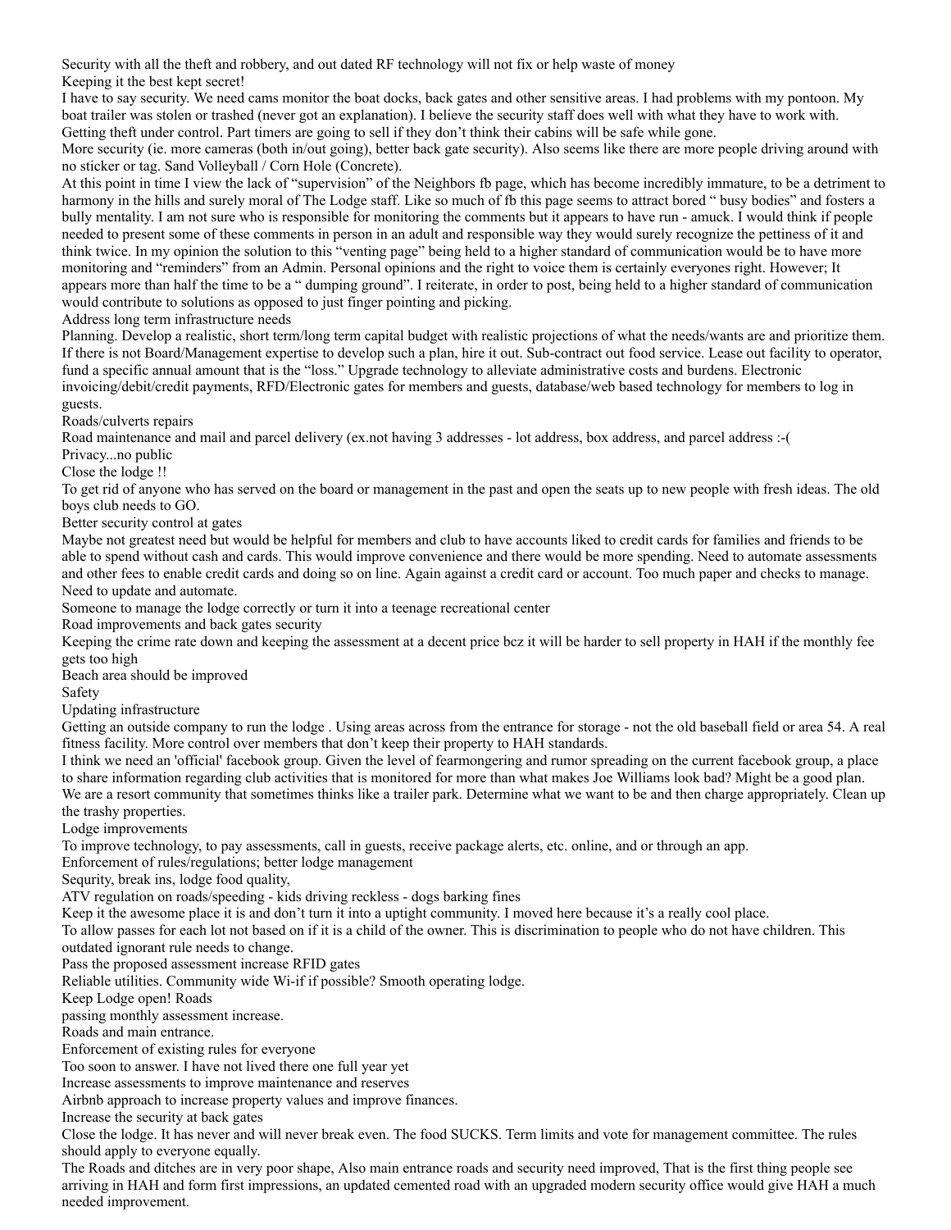Security with all the theft and robbery, and out dated RF technology will not fix or help waste of money Keeping it the best kept secret!

I have to say security. We need cams monitor the boat docks, back gates and other sensitive areas. I had problems with my pontoon. My boat trailer was stolen or trashed (never got an explanation). I believe the security staff does well with what they have to work with. Getting theft under control. Part timers are going to sell if they don't think their cabins will be safe while gone.

More security (ie. more cameras (both in/out going), better back gate security). Also seems like there are more people driving around with no sticker or tag. Sand Volleyball / Corn Hole (Concrete).

At this point in time I view the lack of "supervision" of the Neighbors fb page, which has become incredibly immature, to be a detriment to harmony in the hills and surely moral of The Lodge staff. Like so much of fb this page seems to attract bored " busy bodies" and fosters a bully mentality. I am not sure who is responsible for monitoring the comments but it appears to have run - amuck. I would think if people needed to present some of these comments in person in an adult and responsible way they would surely recognize the pettiness of it and think twice. In my opinion the solution to this "venting page" being held to a higher standard of communication would be to have more monitoring and "reminders" from an Admin. Personal opinions and the right to voice them is certainly everyones right. However; It appears more than half the time to be a " dumping ground". I reiterate, in order to post, being held to a higher standard of communication would contribute to solutions as opposed to just finger pointing and picking.

Address long term infrastructure needs

Planning. Develop a realistic, short term/long term capital budget with realistic projections of what the needs/wants are and prioritize them. If there is not Board/Management expertise to develop such a plan, hire it out. Sub-contract out food service. Lease out facility to operator, fund a specific annual amount that is the "loss." Upgrade technology to alleviate administrative costs and burdens. Electronic invoicing/debit/credit payments, RFD/Electronic gates for members and guests, database/web based technology for members to log in guests.

Roads/culverts repairs

Road maintenance and mail and parcel delivery (ex.not having 3 addresses - lot address, box address, and parcel address :-(

Privacy...no public

Close the lodge !!

To get rid of anyone who has served on the board or management in the past and open the seats up to new people with fresh ideas. The old boys club needs to GO.

Better security control at gates

Maybe not greatest need but would be helpful for members and club to have accounts liked to credit cards for families and friends to be able to spend without cash and cards. This would improve convenience and there would be more spending. Need to automate assessments and other fees to enable credit cards and doing so on line. Again against a credit card or account. Too much paper and checks to manage. Need to update and automate.

Someone to manage the lodge correctly or turn it into a teenage recreational center

Road improvements and back gates security

Keeping the crime rate down and keeping the assessment at a decent price bcz it will be harder to sell property in HAH if the monthly fee gets too high

Beach area should be improved

Safety

Updating infrastructure

Getting an outside company to run the lodge . Using areas across from the entrance for storage - not the old baseball field or area 54. A real fitness facility. More control over members that don't keep their property to HAH standards.

I think we need an 'official' facebook group. Given the level of fearmongering and rumor spreading on the current facebook group, a place to share information regarding club activities that is monitored for more than what makes Joe Williams look bad? Might be a good plan. We are a resort community that sometimes thinks like a trailer park. Determine what we want to be and then charge appropriately. Clean up the trashy properties.

Lodge improvements

To improve technology, to pay assessments, call in guests, receive package alerts, etc. online, and or through an app.

Enforcement of rules/regulations; better lodge management

Sequrity, break ins, lodge food quality,

ATV regulation on roads/speeding - kids driving reckless - dogs barking fines

Keep it the awesome place it is and don't turn it into a uptight community. I moved here because it's a really cool place.

To allow passes for each lot not based on if it is a child of the owner. This is discrimination to people who do not have children. This

outdated ignorant rule needs to change.

Pass the proposed assessment increase RFID gates

Reliable utilities. Community wide Wi-if if possible? Smooth operating lodge.

Keep Lodge open! Roads

passing monthly assessment increase.

Roads and main entrance.

Enforcement of existing rules for everyone

Too soon to answer. I have not lived there one full year yet

Increase assessments to improve maintenance and reserves

Airbnb approach to increase property values and improve finances.

Increase the security at back gates

Close the lodge. It has never and will never break even. The food SUCKS. Term limits and vote for management committee. The rules should apply to everyone equally.

The Roads and ditches are in very poor shape, Also main entrance roads and security need improved, That is the first thing people see arriving in HAH and form first impressions, an updated cemented road with an upgraded modern security office would give HAH a much needed improvement.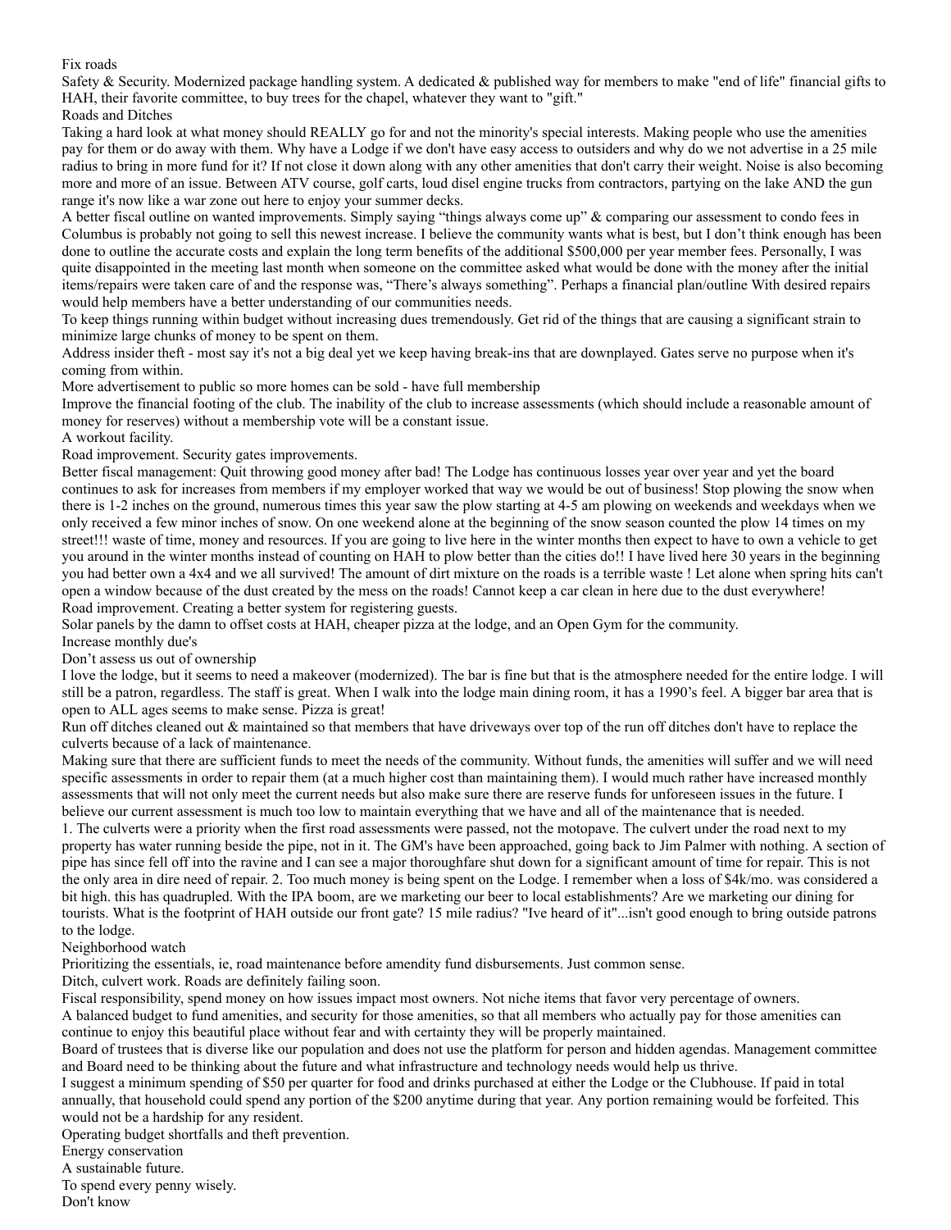Fix roads

Safety & Security. Modernized package handling system. A dedicated & published way for members to make "end of life" financial gifts to HAH, their favorite committee, to buy trees for the chapel, whatever they want to "gift."

Roads and Ditches

Taking a hard look at what money should REALLY go for and not the minority's special interests. Making people who use the amenities pay for them or do away with them. Why have a Lodge if we don't have easy access to outsiders and why do we not advertise in a 25 mile radius to bring in more fund for it? If not close it down along with any other amenities that don't carry their weight. Noise is also becoming more and more of an issue. Between ATV course, golf carts, loud disel engine trucks from contractors, partying on the lake AND the gun range it's now like a war zone out here to enjoy your summer decks.

A better fiscal outline on wanted improvements. Simply saying "things always come up" & comparing our assessment to condo fees in Columbus is probably not going to sell this newest increase. I believe the community wants what is best, but I don't think enough has been done to outline the accurate costs and explain the long term benefits of the additional \$500,000 per year member fees. Personally, I was quite disappointed in the meeting last month when someone on the committee asked what would be done with the money after the initial items/repairs were taken care of and the response was, "There's always something". Perhaps a financial plan/outline With desired repairs would help members have a better understanding of our communities needs.

To keep things running within budget without increasing dues tremendously. Get rid of the things that are causing a significant strain to minimize large chunks of money to be spent on them.

Address insider theft - most say it's not a big deal yet we keep having break-ins that are downplayed. Gates serve no purpose when it's coming from within.

More advertisement to public so more homes can be sold - have full membership

Improve the financial footing of the club. The inability of the club to increase assessments (which should include a reasonable amount of money for reserves) without a membership vote will be a constant issue.

A workout facility.

Road improvement. Security gates improvements.

Better fiscal management: Quit throwing good money after bad! The Lodge has continuous losses year over year and yet the board continues to ask for increases from members if my employer worked that way we would be out of business! Stop plowing the snow when there is 1-2 inches on the ground, numerous times this year saw the plow starting at 4-5 am plowing on weekends and weekdays when we only received a few minor inches of snow. On one weekend alone at the beginning of the snow season counted the plow 14 times on my street!!! waste of time, money and resources. If you are going to live here in the winter months then expect to have to own a vehicle to get you around in the winter months instead of counting on HAH to plow better than the cities do!! I have lived here 30 years in the beginning you had better own a 4x4 and we all survived! The amount of dirt mixture on the roads is a terrible waste ! Let alone when spring hits can't open a window because of the dust created by the mess on the roads! Cannot keep a car clean in here due to the dust everywhere! Road improvement. Creating a better system for registering guests.

Solar panels by the damn to offset costs at HAH, cheaper pizza at the lodge, and an Open Gym for the community.

Increase monthly due's

Don't assess us out of ownership

I love the lodge, but it seems to need a makeover (modernized). The bar is fine but that is the atmosphere needed for the entire lodge. I will still be a patron, regardless. The staff is great. When I walk into the lodge main dining room, it has a 1990's feel. A bigger bar area that is open to ALL ages seems to make sense. Pizza is great!

Run off ditches cleaned out & maintained so that members that have driveways over top of the run off ditches don't have to replace the culverts because of a lack of maintenance.

Making sure that there are sufficient funds to meet the needs of the community. Without funds, the amenities will suffer and we will need specific assessments in order to repair them (at a much higher cost than maintaining them). I would much rather have increased monthly assessments that will not only meet the current needs but also make sure there are reserve funds for unforeseen issues in the future. I believe our current assessment is much too low to maintain everything that we have and all of the maintenance that is needed.

1. The culverts were a priority when the first road assessments were passed, not the motopave. The culvert under the road next to my property has water running beside the pipe, not in it. The GM's have been approached, going back to Jim Palmer with nothing. A section of pipe has since fell off into the ravine and I can see a major thoroughfare shut down for a significant amount of time for repair. This is not the only area in dire need of repair. 2. Too much money is being spent on the Lodge. I remember when a loss of \$4k/mo. was considered a bit high. this has quadrupled. With the IPA boom, are we marketing our beer to local establishments? Are we marketing our dining for tourists. What is the footprint of HAH outside our front gate? 15 mile radius? "Ive heard of it"...isn't good enough to bring outside patrons to the lodge.

Neighborhood watch

Prioritizing the essentials, ie, road maintenance before amendity fund disbursements. Just common sense.

Ditch, culvert work. Roads are definitely failing soon.

Fiscal responsibility, spend money on how issues impact most owners. Not niche items that favor very percentage of owners. A balanced budget to fund amenities, and security for those amenities, so that all members who actually pay for those amenities can continue to enjoy this beautiful place without fear and with certainty they will be properly maintained.

Board of trustees that is diverse like our population and does not use the platform for person and hidden agendas. Management committee and Board need to be thinking about the future and what infrastructure and technology needs would help us thrive.

I suggest a minimum spending of \$50 per quarter for food and drinks purchased at either the Lodge or the Clubhouse. If paid in total annually, that household could spend any portion of the \$200 anytime during that year. Any portion remaining would be forfeited. This would not be a hardship for any resident.

Operating budget shortfalls and theft prevention.

Energy conservation

A sustainable future.

To spend every penny wisely. Don't know